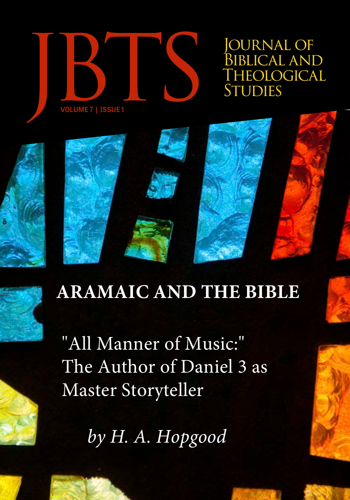

**OURNAL OF** BIBLICAL AND<br>THEOLOGICAL

# **ARAMAIC AND THE BIBLE**

"All Manner of Music:" The Author of Daniel 3 as Master Storyteller

*by H. A. Hopgood*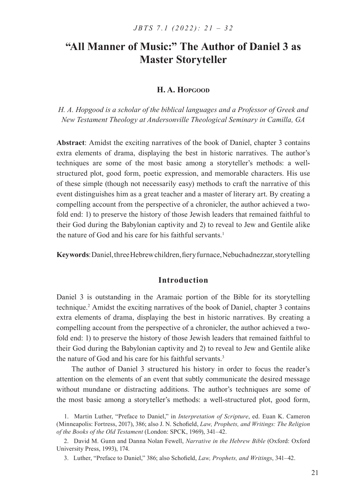# **H. A. Hopgood**

*H. A. Hopgood is a scholar of the biblical languages and a Professor of Greek and New Testament Theology at Andersonville Theological Seminary in Camilla, GA*

**Abstract**: Amidst the exciting narratives of the book of Daniel, chapter 3 contains extra elements of drama, displaying the best in historic narratives. The author's techniques are some of the most basic among a storyteller's methods: a wellstructured plot, good form, poetic expression, and memorable characters. His use of these simple (though not necessarily easy) methods to craft the narrative of this event distinguishes him as a great teacher and a master of literary art. By creating a compelling account from the perspective of a chronicler, the author achieved a twofold end: 1) to preserve the history of those Jewish leaders that remained faithful to their God during the Babylonian captivity and 2) to reveal to Jew and Gentile alike the nature of God and his care for his faithful servants.<sup>1</sup>

**Keywords**: Daniel, three Hebrew children, fiery furnace, Nebuchadnezzar, storytelling

# **Introduction**

Daniel 3 is outstanding in the Aramaic portion of the Bible for its storytelling technique.<sup>2</sup> Amidst the exciting narratives of the book of Daniel, chapter 3 contains extra elements of drama, displaying the best in historic narratives. By creating a compelling account from the perspective of a chronicler, the author achieved a twofold end: 1) to preserve the history of those Jewish leaders that remained faithful to their God during the Babylonian captivity and 2) to reveal to Jew and Gentile alike the nature of God and his care for his faithful servants.<sup>3</sup>

The author of Daniel 3 structured his history in order to focus the reader's attention on the elements of an event that subtly communicate the desired message without mundane or distracting additions. The author's techniques are some of the most basic among a storyteller's methods: a well-structured plot, good form,

<sup>1</sup>. Martin Luther, "Preface to Daniel," in *Interpretation of Scripture*, ed. Euan K. Cameron (Minneapolis: Fortress, 2017), 386; also J. N. Schofield, *Law, Prophets, and Writings: The Religion of the Books of the Old Testament* (London: SPCK, 1969), 341–42.

<sup>2</sup>. David M. Gunn and Danna Nolan Fewell, *Narrative in the Hebrew Bible* (Oxford: Oxford University Press, 1993), 174.

<sup>3</sup>. Luther, "Preface to Daniel," 386; also Schofield, *Law, Prophets, and Writings*, 341–42.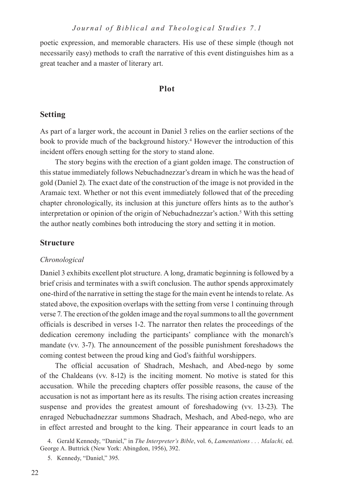poetic expression, and memorable characters. His use of these simple (though not necessarily easy) methods to craft the narrative of this event distinguishes him as a great teacher and a master of literary art.

# **Plot**

# **Setting**

As part of a larger work, the account in Daniel 3 relies on the earlier sections of the book to provide much of the background history.<sup>4</sup> However the introduction of this incident offers enough setting for the story to stand alone.

The story begins with the erection of a giant golden image. The construction of this statue immediately follows Nebuchadnezzar's dream in which he was the head of gold (Daniel 2). The exact date of the construction of the image is not provided in the Aramaic text. Whether or not this event immediately followed that of the preceding chapter chronologically, its inclusion at this juncture offers hints as to the author's interpretation or opinion of the origin of Nebuchadnezzar's action.<sup>5</sup> With this setting the author neatly combines both introducing the story and setting it in motion.

#### **Structure**

#### *Chronological*

Daniel 3 exhibits excellent plot structure. A long, dramatic beginning is followed by a brief crisis and terminates with a swift conclusion. The author spends approximately one-third of the narrative in setting the stage for the main event he intends to relate. As stated above, the exposition overlaps with the setting from verse 1 continuing through verse 7. The erection of the golden image and the royal summons to all the government officials is described in verses 1-2. The narrator then relates the proceedings of the dedication ceremony including the participants' compliance with the monarch's mandate (vv. 3-7). The announcement of the possible punishment foreshadows the coming contest between the proud king and God's faithful worshippers.

The official accusation of Shadrach, Meshach, and Abed-nego by some of the Chaldeans (vv. 8-12) is the inciting moment. No motive is stated for this accusation. While the preceding chapters offer possible reasons, the cause of the accusation is not as important here as its results. The rising action creates increasing suspense and provides the greatest amount of foreshadowing (vv. 13-23). The enraged Nebuchadnezzar summons Shadrach, Meshach, and Abed-nego, who are in effect arrested and brought to the king. Their appearance in court leads to an

4. Gerald Kennedy, "Daniel," in *The Interpreter's Bible*, vol. 6, *Lamentations . . . Malachi,* ed. George A. Buttrick (New York: Abingdon, 1956), 392.

5. Kennedy, "Daniel," 395.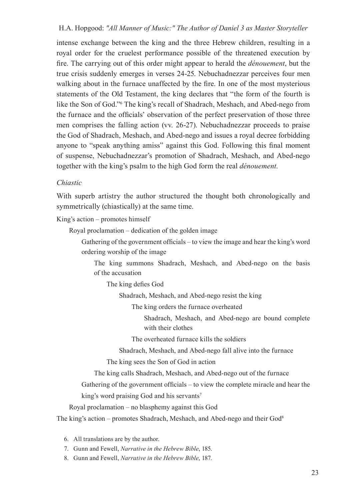intense exchange between the king and the three Hebrew children, resulting in a royal order for the cruelest performance possible of the threatened execution by fire. The carrying out of this order might appear to herald the *dénouement*, but the true crisis suddenly emerges in verses 24-25. Nebuchadnezzar perceives four men walking about in the furnace unaffected by the fire. In one of the most mysterious statements of the Old Testament, the king declares that "the form of the fourth is like the Son of God."6 The king's recall of Shadrach, Meshach, and Abed-nego from the furnace and the officials' observation of the perfect preservation of those three men comprises the falling action (vv. 26-27). Nebuchadnezzar proceeds to praise the God of Shadrach, Meshach, and Abed-nego and issues a royal decree forbidding anyone to "speak anything amiss" against this God. Following this final moment of suspense, Nebuchadnezzar's promotion of Shadrach, Meshach, and Abed-nego together with the king's psalm to the high God form the real *dénouement*.

# *Chiastic*

With superb artistry the author structured the thought both chronologically and symmetrically (chiastically) at the same time.

King's action – promotes himself

Royal proclamation – dedication of the golden image

Gathering of the government officials – to view the image and hear the king's word ordering worship of the image

The king summons Shadrach, Meshach, and Abed-nego on the basis of the accusation

The king defies God

Shadrach, Meshach, and Abed-nego resist the king

The king orders the furnace overheated

Shadrach, Meshach, and Abed-nego are bound complete with their clothes

The overheated furnace kills the soldiers

Shadrach, Meshach, and Abed-nego fall alive into the furnace

The king sees the Son of God in action

The king calls Shadrach, Meshach, and Abed-nego out of the furnace

Gathering of the government officials – to view the complete miracle and hear the

king's word praising God and his servants<sup>7</sup>

Royal proclamation – no blasphemy against this God

The king's action – promotes Shadrach, Meshach, and Abed-nego and their God<sup>8</sup>

6. All translations are by the author.

7. Gunn and Fewell, *Narrative in the Hebrew Bible*, 185.

8. Gunn and Fewell, *Narrative in the Hebrew Bible*, 187.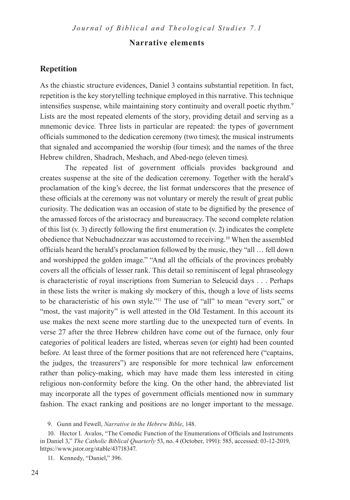# **Narrative elements**

# **Repetition**

As the chiastic structure evidences, Daniel 3 contains substantial repetition. In fact, repetition is the key storytelling technique employed in this narrative. This technique intensifies suspense, while maintaining story continuity and overall poetic rhythm.<sup>9</sup> Lists are the most repeated elements of the story, providing detail and serving as a mnemonic device. Three lists in particular are repeated: the types of government officials summoned to the dedication ceremony (two times); the musical instruments that signaled and accompanied the worship (four times); and the names of the three Hebrew children, Shadrach, Meshach, and Abed-nego (eleven times).

The repeated list of government officials provides background and creates suspense at the site of the dedication ceremony. Together with the herald's proclamation of the king's decree, the list format underscores that the presence of these officials at the ceremony was not voluntary or merely the result of great public curiosity. The dedication was an occasion of state to be dignified by the presence of the amassed forces of the aristocracy and bureaucracy. The second complete relation of this list (v. 3) directly following the first enumeration (v. 2) indicates the complete obedience that Nebuchadnezzar was accustomed to receiving.10 When the assembled officials heard the herald's proclamation followed by the music, they "all … fell down and worshipped the golden image." "And all the officials of the provinces probably covers all the officials of lesser rank. This detail so reminiscent of legal phraseology is characteristic of royal inscriptions from Sumerian to Seleucid days . . . Perhaps in these lists the writer is making sly mockery of this, though a love of lists seems to be characteristic of his own style."11 The use of "all" to mean "every sort," or "most, the vast majority" is well attested in the Old Testament. In this account its use makes the next scene more startling due to the unexpected turn of events. In verse 27 after the three Hebrew children have come out of the furnace, only four categories of political leaders are listed, whereas seven (or eight) had been counted before. At least three of the former positions that are not referenced here ("captains, the judges, the treasurers") are responsible for more technical law enforcement rather than policy-making, which may have made them less interested in citing religious non-conformity before the king. On the other hand, the abbreviated list may incorporate all the types of government officials mentioned now in summary fashion. The exact ranking and positions are no longer important to the message.

9. Gunn and Fewell, *Narrative in the Hebrew Bible*, 148.

10. Hector I. Avalos, "The Comedic Function of the Enumerations of Officials and Instruments in Daniel 3," *The Catholic Biblical Quarterly* 53, no. 4 (October, 1991): 585, accessed: 03-12-2019, https://www.jstor.org/stable/43718347.

11. Kennedy, "Daniel," 396.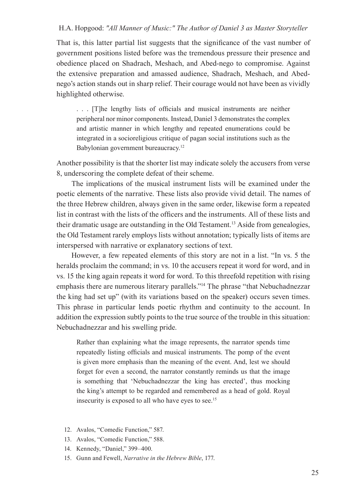That is, this latter partial list suggests that the significance of the vast number of government positions listed before was the tremendous pressure their presence and obedience placed on Shadrach, Meshach, and Abed-nego to compromise. Against the extensive preparation and amassed audience, Shadrach, Meshach, and Abednego's action stands out in sharp relief. Their courage would not have been as vividly highlighted otherwise.

. . . [T]he lengthy lists of officials and musical instruments are neither peripheral nor minor components. Instead, Daniel 3 demonstrates the complex and artistic manner in which lengthy and repeated enumerations could be integrated in a socioreligious critique of pagan social institutions such as the Babylonian government bureaucracy.<sup>12</sup>

Another possibility is that the shorter list may indicate solely the accusers from verse 8, underscoring the complete defeat of their scheme.

The implications of the musical instrument lists will be examined under the poetic elements of the narrative. These lists also provide vivid detail. The names of the three Hebrew children, always given in the same order, likewise form a repeated list in contrast with the lists of the officers and the instruments. All of these lists and their dramatic usage are outstanding in the Old Testament.13 Aside from genealogies, the Old Testament rarely employs lists without annotation; typically lists of items are interspersed with narrative or explanatory sections of text.

However, a few repeated elements of this story are not in a list. "In vs. 5 the heralds proclaim the command; in vs. 10 the accusers repeat it word for word, and in vs. 15 the king again repeats it word for word. To this threefold repetition with rising emphasis there are numerous literary parallels."14 The phrase "that Nebuchadnezzar the king had set up" (with its variations based on the speaker) occurs seven times. This phrase in particular lends poetic rhythm and continuity to the account. In addition the expression subtly points to the true source of the trouble in this situation: Nebuchadnezzar and his swelling pride.

Rather than explaining what the image represents, the narrator spends time repeatedly listing officials and musical instruments. The pomp of the event is given more emphasis than the meaning of the event. And, lest we should forget for even a second, the narrator constantly reminds us that the image is something that 'Nebuchadnezzar the king has erected', thus mocking the king's attempt to be regarded and remembered as a head of gold. Royal insecurity is exposed to all who have eyes to see.15

- 12. Avalos, "Comedic Function," 587.
- 13. Avalos, "Comedic Function," 588.
- 14. Kennedy, "Daniel," 399–400.
- 15. Gunn and Fewell, *Narrative in the Hebrew Bible*, 177.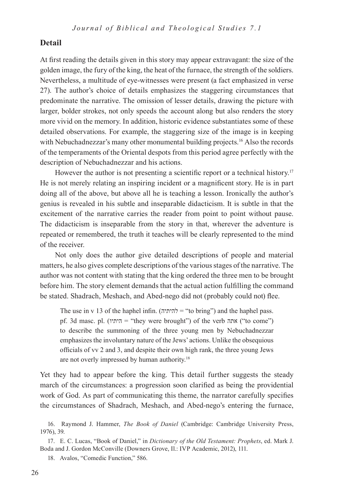# **Detail**

At first reading the details given in this story may appear extravagant: the size of the golden image, the fury of the king, the heat of the furnace, the strength of the soldiers. Nevertheless, a multitude of eye-witnesses were present (a fact emphasized in verse 27). The author's choice of details emphasizes the staggering circumstances that predominate the narrative. The omission of lesser details, drawing the picture with larger, bolder strokes, not only speeds the account along but also renders the story more vivid on the memory. In addition, historic evidence substantiates some of these detailed observations. For example, the staggering size of the image is in keeping with Nebuchadnezzar's many other monumental building projects.<sup>16</sup> Also the records of the temperaments of the Oriental despots from this period agree perfectly with the description of Nebuchadnezzar and his actions.

However the author is not presenting a scientific report or a technical history.<sup>17</sup> He is not merely relating an inspiring incident or a magnificent story. He is in part doing all of the above, but above all he is teaching a lesson. Ironically the author's genius is revealed in his subtle and inseparable didacticism. It is subtle in that the excitement of the narrative carries the reader from point to point without pause. The didacticism is inseparable from the story in that, wherever the adventure is repeated or remembered, the truth it teaches will be clearly represented to the mind of the receiver.

Not only does the author give detailed descriptions of people and material matters, he also gives complete descriptions of the various stages of the narrative. The author was not content with stating that the king ordered the three men to be brought before him. The story element demands that the actual action fulfilling the command be stated. Shadrach, Meshach, and Abed-nego did not (probably could not) flee.

The use in v 13 of the haphel infin. (להיתיה = "to bring") and the haphel pass. pf. 3d masc. pl. (היתיו = "they were brought") of the verb אתה ("to come") to describe the summoning of the three young men by Nebuchadnezzar emphasizes the involuntary nature of the Jews' actions. Unlike the obsequious officials of vv 2 and 3, and despite their own high rank, the three young Jews are not overly impressed by human authority.18

Yet they had to appear before the king. This detail further suggests the steady march of the circumstances: a progression soon clarified as being the providential work of God. As part of communicating this theme, the narrator carefully specifies the circumstances of Shadrach, Meshach, and Abed-nego's entering the furnace,

<sup>16</sup>. Raymond J. Hammer, *The Book of Daniel* (Cambridge: Cambridge University Press, 1976), 39.

<sup>17</sup>. E. C. Lucas, "Book of Daniel," in *Dictionary of the Old Testament: Prophets*, ed. Mark J. Boda and J. Gordon McConville (Downers Grove, Il.: IVP Academic, 2012), 111.

<sup>18</sup>. Avalos, "Comedic Function," 586.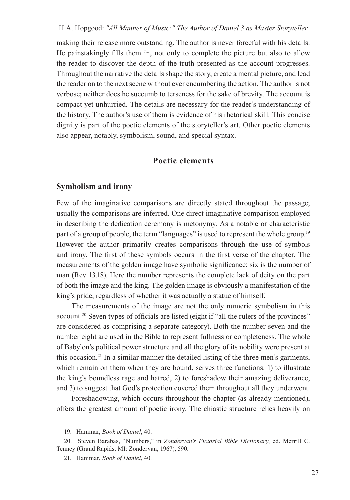making their release more outstanding. The author is never forceful with his details. He painstakingly fills them in, not only to complete the picture but also to allow the reader to discover the depth of the truth presented as the account progresses. Throughout the narrative the details shape the story, create a mental picture, and lead the reader on to the next scene without ever encumbering the action. The author is not verbose; neither does he succumb to terseness for the sake of brevity. The account is compact yet unhurried. The details are necessary for the reader's understanding of the history. The author's use of them is evidence of his rhetorical skill. This concise dignity is part of the poetic elements of the storyteller's art. Other poetic elements also appear, notably, symbolism, sound, and special syntax.

# **Poetic elements**

#### **Symbolism and irony**

Few of the imaginative comparisons are directly stated throughout the passage; usually the comparisons are inferred. One direct imaginative comparison employed in describing the dedication ceremony is metonymy. As a notable or characteristic part of a group of people, the term "languages" is used to represent the whole group.<sup>19</sup> However the author primarily creates comparisons through the use of symbols and irony. The first of these symbols occurs in the first verse of the chapter. The measurements of the golden image have symbolic significance: six is the number of man (Rev 13.18). Here the number represents the complete lack of deity on the part of both the image and the king. The golden image is obviously a manifestation of the king's pride, regardless of whether it was actually a statue of himself.

The measurements of the image are not the only numeric symbolism in this account.<sup>20</sup> Seven types of officials are listed (eight if "all the rulers of the provinces" are considered as comprising a separate category). Both the number seven and the number eight are used in the Bible to represent fullness or completeness. The whole of Babylon's political power structure and all the glory of its nobility were present at this occasion.<sup>21</sup> In a similar manner the detailed listing of the three men's garments, which remain on them when they are bound, serves three functions: 1) to illustrate the king's boundless rage and hatred, 2) to foreshadow their amazing deliverance, and 3) to suggest that God's protection covered them throughout all they underwent.

Foreshadowing, which occurs throughout the chapter (as already mentioned), offers the greatest amount of poetic irony. The chiastic structure relies heavily on

21. Hammar, *Book of Daniel*, 40.

<sup>19</sup>. Hammar, *Book of Daniel*, 40.

<sup>20</sup>. Steven Barabas, "Numbers," in *Zondervan's Pictorial Bible Dictionary*, ed. Merrill C. Tenney (Grand Rapids, MI: Zondervan, 1967), 590.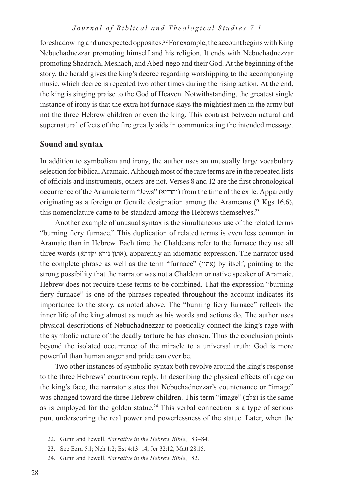## *Journal of Biblical and Theological Studies 7.1*

foreshadowing and unexpected opposites.22 For example, the account begins with King Nebuchadnezzar promoting himself and his religion. It ends with Nebuchadnezzar promoting Shadrach, Meshach, and Abed-nego and their God. At the beginning of the story, the herald gives the king's decree regarding worshipping to the accompanying music, which decree is repeated two other times during the rising action. At the end, the king is singing praise to the God of Heaven. Notwithstanding, the greatest single instance of irony is that the extra hot furnace slays the mightiest men in the army but not the three Hebrew children or even the king. This contrast between natural and supernatural effects of the fire greatly aids in communicating the intended message.

# **Sound and syntax**

In addition to symbolism and irony, the author uses an unusually large vocabulary selection for biblical Aramaic. Although most of the rare terms are in the repeated lists of officials and instruments, others are not. Verses 8 and 12 are the first chronological occurrence of the Aramaic term "Jews" (יהודיא (from the time of the exile. Apparently originating as a foreign or Gentile designation among the Arameans (2 Kgs 16.6), this nomenclature came to be standard among the Hebrews themselves.<sup>23</sup>

Another example of unusual syntax is the simultaneous use of the related terms "burning fiery furnace." This duplication of related terms is even less common in Aramaic than in Hebrew. Each time the Chaldeans refer to the furnace they use all three words (יקדתא נורא אתון(, apparently an idiomatic expression. The narrator used the complete phrase as well as the term "furnace"  $(N)$  by itself, pointing to the strong possibility that the narrator was not a Chaldean or native speaker of Aramaic. Hebrew does not require these terms to be combined. That the expression "burning fiery furnace" is one of the phrases repeated throughout the account indicates its importance to the story, as noted above. The "burning fiery furnace" reflects the inner life of the king almost as much as his words and actions do. The author uses physical descriptions of Nebuchadnezzar to poetically connect the king's rage with the symbolic nature of the deadly torture he has chosen. Thus the conclusion points beyond the isolated occurrence of the miracle to a universal truth: God is more powerful than human anger and pride can ever be.

Two other instances of symbolic syntax both revolve around the king's response to the three Hebrews' courtroom reply. In describing the physical effects of rage on the king's face, the narrator states that Nebuchadnezzar's countenance or "image" was changed toward the three Hebrew children. This term "image" (צלם) is the same as is employed for the golden statue.24 This verbal connection is a type of serious pun, underscoring the real power and powerlessness of the statue. Later, when the

- 22. Gunn and Fewell, *Narrative in the Hebrew Bible*, 183–84.
- 23. See Ezra 5:1; Neh 1:2; Est 4:13–14; Jer 32:12; Matt 28:15.
- 24. Gunn and Fewell, *Narrative in the Hebrew Bible*, 182.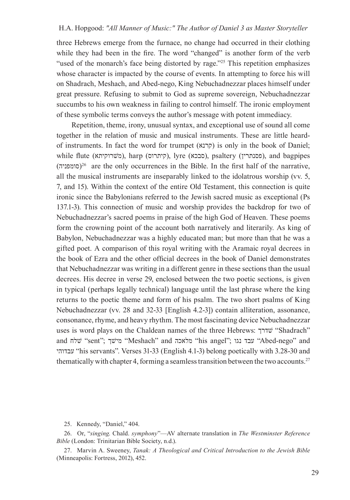three Hebrews emerge from the furnace, no change had occurred in their clothing while they had been in the fire. The word "changed" is another form of the verb "used of the monarch's face being distorted by rage."<sup>25</sup> This repetition emphasizes whose character is impacted by the course of events. In attempting to force his will on Shadrach, Meshach, and Abed-nego, King Nebuchadnezzar places himself under great pressure. Refusing to submit to God as supreme sovereign, Nebuchadnezzar succumbs to his own weakness in failing to control himself. The ironic employment of these symbolic terms conveys the author's message with potent immediacy.

Repetition, theme, irony, unusual syntax, and exceptional use of sound all come together in the relation of music and musical instruments. These are little heardof instruments. In fact the word for trumpet (קרנא) is only in the book of Daniel; while flute (משרוקיתא), harp (קיתרוס), lyre (סבכא), psaltery (פסנתרין), and bagpipes  $(26\pi)$ (סומפניה)<sup>26</sup> are the only occurrences in the Bible. In the first half of the narrative, all the musical instruments are inseparably linked to the idolatrous worship (vv. 5, 7, and 15). Within the context of the entire Old Testament, this connection is quite ironic since the Babylonians referred to the Jewish sacred music as exceptional (Ps 137.1-3). This connection of music and worship provides the backdrop for two of Nebuchadnezzar's sacred poems in praise of the high God of Heaven. These poems form the crowning point of the account both narratively and literarily. As king of Babylon, Nebuchadnezzar was a highly educated man; but more than that he was a gifted poet. A comparison of this royal writing with the Aramaic royal decrees in the book of Ezra and the other official decrees in the book of Daniel demonstrates that Nebuchadnezzar was writing in a different genre in these sections than the usual decrees. His decree in verse 29, enclosed between the two poetic sections, is given in typical (perhaps legally technical) language until the last phrase where the king returns to the poetic theme and form of his psalm. The two short psalms of King Nebuchadnezzar (vv. 28 and 32-33 [English 4.2-3]) contain alliteration, assonance, consonance, rhyme, and heavy rhythm. The most fascinating device Nebuchadnezzar uses is word plays on the Chaldean names of the three Hebrews: שדרךׁ" Shadrach" and "sent"; שלח "Meshach" and "מלאכה "his angel"; עבד נגו "Abed-nego" and " עבדוהי" his servants". Verses 31-33 (English 4.1-3) belong poetically with 3.28-30 and thematically with chapter 4, forming a seamless transition between the two accounts.<sup>27</sup>

25. Kennedy, "Daniel," 404.

26. Or, "*singing*. Chald. *symphony*"—AV alternate translation in *The Westminster Reference Bible* (London: Trinitarian Bible Society, n.d.).

27. Marvin A. Sweeney, *Tanak: A Theological and Critical Introduction to the Jewish Bible* (Minneapolis: Fortress, 2012), 452.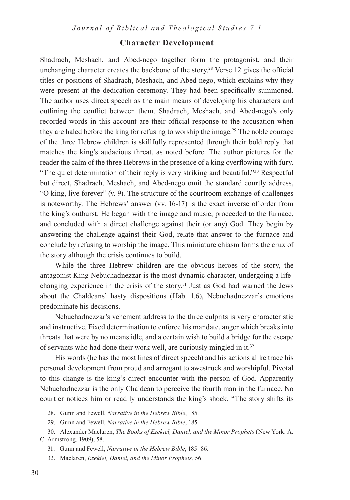# **Character Development**

Shadrach, Meshach, and Abed-nego together form the protagonist, and their unchanging character creates the backbone of the story.28 Verse 12 gives the official titles or positions of Shadrach, Meshach, and Abed-nego, which explains why they were present at the dedication ceremony. They had been specifically summoned. The author uses direct speech as the main means of developing his characters and outlining the conflict between them. Shadrach, Meshach, and Abed-nego's only recorded words in this account are their official response to the accusation when they are haled before the king for refusing to worship the image.<sup>29</sup> The noble courage of the three Hebrew children is skillfully represented through their bold reply that matches the king's audacious threat, as noted before. The author pictures for the reader the calm of the three Hebrews in the presence of a king overflowing with fury. "The quiet determination of their reply is very striking and beautiful."30 Respectful but direct, Shadrach, Meshach, and Abed-nego omit the standard courtly address, "O king, live forever" (v. 9). The structure of the courtroom exchange of challenges is noteworthy. The Hebrews' answer (vv. 16-17) is the exact inverse of order from the king's outburst. He began with the image and music, proceeded to the furnace, and concluded with a direct challenge against their (or any) God. They begin by answering the challenge against their God, relate that answer to the furnace and conclude by refusing to worship the image. This miniature chiasm forms the crux of the story although the crisis continues to build.

While the three Hebrew children are the obvious heroes of the story, the antagonist King Nebuchadnezzar is the most dynamic character, undergoing a lifechanging experience in the crisis of the story. $31$  Just as God had warned the Jews about the Chaldeans' hasty dispositions (Hab. 1.6), Nebuchadnezzar's emotions predominate his decisions.

Nebuchadnezzar's vehement address to the three culprits is very characteristic and instructive. Fixed determination to enforce his mandate, anger which breaks into threats that were by no means idle, and a certain wish to build a bridge for the escape of servants who had done their work well, are curiously mingled in it.<sup>32</sup>

His words (he has the most lines of direct speech) and his actions alike trace his personal development from proud and arrogant to awestruck and worshipful. Pivotal to this change is the king's direct encounter with the person of God. Apparently Nebuchadnezzar is the only Chaldean to perceive the fourth man in the furnace. No courtier notices him or readily understands the king's shock. "The story shifts its

28. Gunn and Fewell, *Narrative in the Hebrew Bible*, 185.

29. Gunn and Fewell, *Narrative in the Hebrew Bible*, 185.

30. Alexander Maclaren, *The Books of Ezekiel, Daniel, and the Minor Prophets* (New York: A. C. Armstrong, 1909), 58.

31. Gunn and Fewell, *Narrative in the Hebrew Bible*, 185–86.

32. Maclaren, *Ezekiel, Daniel, and the Minor Prophets,* 56.